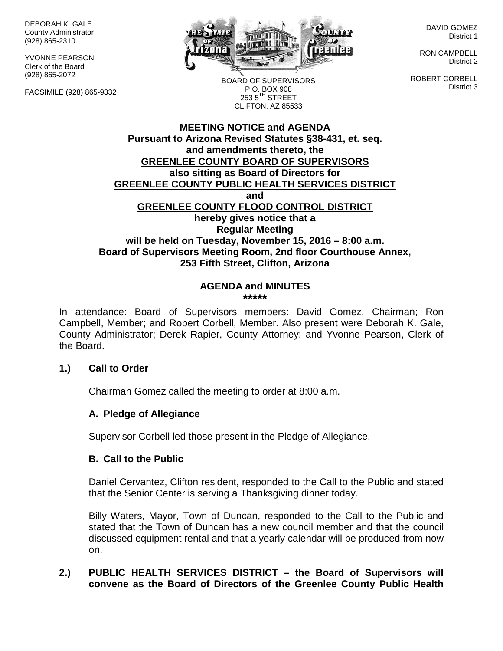DEBORAH K. GALE County Administrator (928) 865-2310

YVONNE PEARSON Clerk of the Board (928) 865-2072

FACSIMILE (928) 865-9332



DAVID GOMEZ District 1

RON CAMPBELL District 2

ROBERT CORBELL District 3

BOARD OF SUPERVISORS P.O. BOX 908  $253.5$ <sup>TH</sup> STREET CLIFTON, AZ 85533

### **MEETING NOTICE and AGENDA Pursuant to Arizona Revised Statutes §38-431, et. seq. and amendments thereto, the GREENLEE COUNTY BOARD OF SUPERVISORS also sitting as Board of Directors for GREENLEE COUNTY PUBLIC HEALTH SERVICES DISTRICT and GREENLEE COUNTY FLOOD CONTROL DISTRICT hereby gives notice that a Regular Meeting will be held on Tuesday, November 15, 2016 – 8:00 a.m. Board of Supervisors Meeting Room, 2nd floor Courthouse Annex, 253 Fifth Street, Clifton, Arizona**

#### **AGENDA and MINUTES \*\*\*\*\***

In attendance: Board of Supervisors members: David Gomez, Chairman; Ron Campbell, Member; and Robert Corbell, Member. Also present were Deborah K. Gale, County Administrator; Derek Rapier, County Attorney; and Yvonne Pearson, Clerk of the Board.

### **1.) Call to Order**

Chairman Gomez called the meeting to order at 8:00 a.m.

### **A. Pledge of Allegiance**

Supervisor Corbell led those present in the Pledge of Allegiance.

#### **B. Call to the Public**

Daniel Cervantez, Clifton resident, responded to the Call to the Public and stated that the Senior Center is serving a Thanksgiving dinner today.

Billy Waters, Mayor, Town of Duncan, responded to the Call to the Public and stated that the Town of Duncan has a new council member and that the council discussed equipment rental and that a yearly calendar will be produced from now on.

## **2.) PUBLIC HEALTH SERVICES DISTRICT – the Board of Supervisors will convene as the Board of Directors of the Greenlee County Public Health**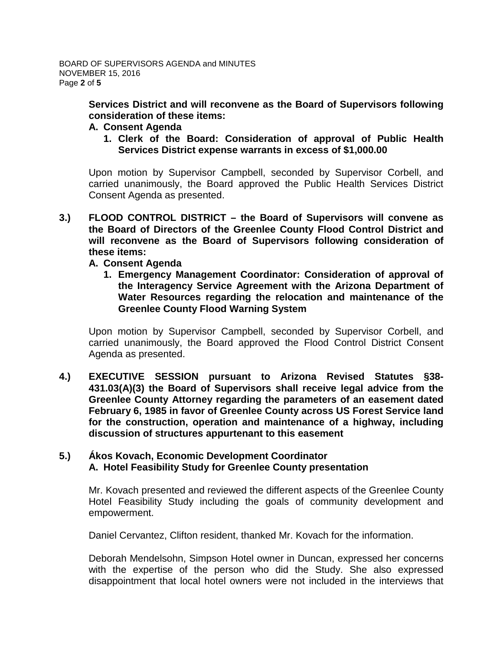**Services District and will reconvene as the Board of Supervisors following consideration of these items:**

- **A. Consent Agenda**
	- **1. Clerk of the Board: Consideration of approval of Public Health Services District expense warrants in excess of \$1,000.00**

Upon motion by Supervisor Campbell, seconded by Supervisor Corbell, and carried unanimously, the Board approved the Public Health Services District Consent Agenda as presented.

- **3.) FLOOD CONTROL DISTRICT – the Board of Supervisors will convene as the Board of Directors of the Greenlee County Flood Control District and will reconvene as the Board of Supervisors following consideration of these items:**
	- **A. Consent Agenda**
		- **1. Emergency Management Coordinator: Consideration of approval of the Interagency Service Agreement with the Arizona Department of Water Resources regarding the relocation and maintenance of the Greenlee County Flood Warning System**

Upon motion by Supervisor Campbell, seconded by Supervisor Corbell, and carried unanimously, the Board approved the Flood Control District Consent Agenda as presented.

**4.) EXECUTIVE SESSION pursuant to Arizona Revised Statutes §38- 431.03(A)(3) the Board of Supervisors shall receive legal advice from the Greenlee County Attorney regarding the parameters of an easement dated February 6, 1985 in favor of Greenlee County across US Forest Service land for the construction, operation and maintenance of a highway, including discussion of structures appurtenant to this easement**

### **5.) Ákos Kovach, Economic Development Coordinator A. Hotel Feasibility Study for Greenlee County presentation**

Mr. Kovach presented and reviewed the different aspects of the Greenlee County Hotel Feasibility Study including the goals of community development and empowerment.

Daniel Cervantez, Clifton resident, thanked Mr. Kovach for the information.

Deborah Mendelsohn, Simpson Hotel owner in Duncan, expressed her concerns with the expertise of the person who did the Study. She also expressed disappointment that local hotel owners were not included in the interviews that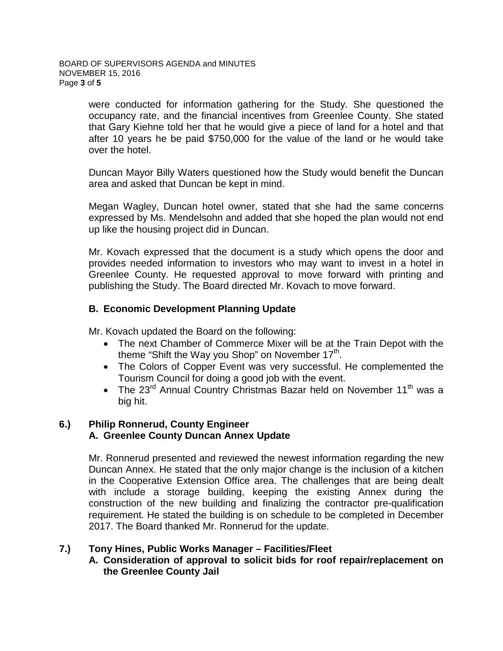were conducted for information gathering for the Study. She questioned the occupancy rate, and the financial incentives from Greenlee County. She stated that Gary Kiehne told her that he would give a piece of land for a hotel and that after 10 years he be paid \$750,000 for the value of the land or he would take over the hotel.

Duncan Mayor Billy Waters questioned how the Study would benefit the Duncan area and asked that Duncan be kept in mind.

Megan Wagley, Duncan hotel owner, stated that she had the same concerns expressed by Ms. Mendelsohn and added that she hoped the plan would not end up like the housing project did in Duncan.

Mr. Kovach expressed that the document is a study which opens the door and provides needed information to investors who may want to invest in a hotel in Greenlee County. He requested approval to move forward with printing and publishing the Study. The Board directed Mr. Kovach to move forward.

## **B. Economic Development Planning Update**

Mr. Kovach updated the Board on the following:

- The next Chamber of Commerce Mixer will be at the Train Depot with the theme "Shift the Way you Shop" on November  $17<sup>th</sup>$ .
- The Colors of Copper Event was very successful. He complemented the Tourism Council for doing a good job with the event.
- The  $23^{\text{rd}}$  Annual Country Christmas Bazar held on November  $11^{\text{th}}$  was a big hit.

# **6.) Philip Ronnerud, County Engineer A. Greenlee County Duncan Annex Update**

Mr. Ronnerud presented and reviewed the newest information regarding the new Duncan Annex. He stated that the only major change is the inclusion of a kitchen in the Cooperative Extension Office area. The challenges that are being dealt with include a storage building, keeping the existing Annex during the construction of the new building and finalizing the contractor pre-qualification requirement. He stated the building is on schedule to be completed in December 2017. The Board thanked Mr. Ronnerud for the update.

### **7.) Tony Hines, Public Works Manager – Facilities/Fleet**

**A. Consideration of approval to solicit bids for roof repair/replacement on the Greenlee County Jail**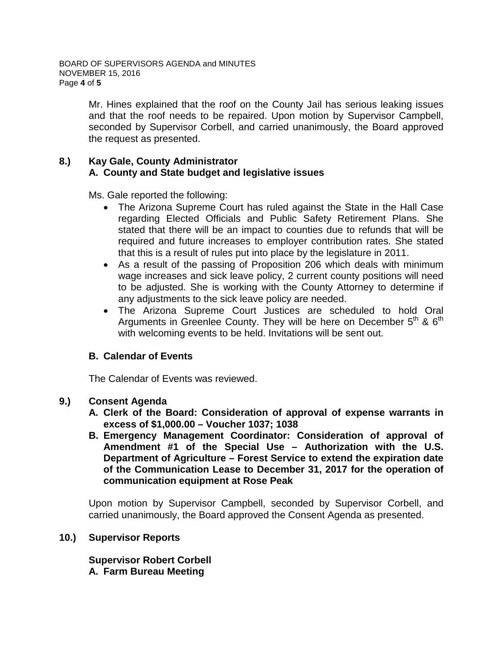Mr. Hines explained that the roof on the County Jail has serious leaking issues and that the roof needs to be repaired. Upon motion by Supervisor Campbell, seconded by Supervisor Corbell, and carried unanimously, the Board approved the request as presented.

### **8.) Kay Gale, County Administrator A. County and State budget and legislative issues**

Ms. Gale reported the following:

- The Arizona Supreme Court has ruled against the State in the Hall Case regarding Elected Officials and Public Safety Retirement Plans. She stated that there will be an impact to counties due to refunds that will be required and future increases to employer contribution rates. She stated that this is a result of rules put into place by the legislature in 2011.
- As a result of the passing of Proposition 206 which deals with minimum wage increases and sick leave policy, 2 current county positions will need to be adjusted. She is working with the County Attorney to determine if any adjustments to the sick leave policy are needed.
- The Arizona Supreme Court Justices are scheduled to hold Oral Arguments in Greenlee County. They will be here on December  $5<sup>th</sup>$  &  $6<sup>th</sup>$ with welcoming events to be held. Invitations will be sent out.

### **B. Calendar of Events**

The Calendar of Events was reviewed.

### **9.) Consent Agenda**

- **A. Clerk of the Board: Consideration of approval of expense warrants in excess of \$1,000.00 – Voucher 1037; 1038**
- **B. Emergency Management Coordinator: Consideration of approval of Amendment #1 of the Special Use – Authorization with the U.S. Department of Agriculture – Forest Service to extend the expiration date of the Communication Lease to December 31, 2017 for the operation of communication equipment at Rose Peak**

Upon motion by Supervisor Campbell, seconded by Supervisor Corbell, and carried unanimously, the Board approved the Consent Agenda as presented.

### **10.) Supervisor Reports**

**Supervisor Robert Corbell A. Farm Bureau Meeting**